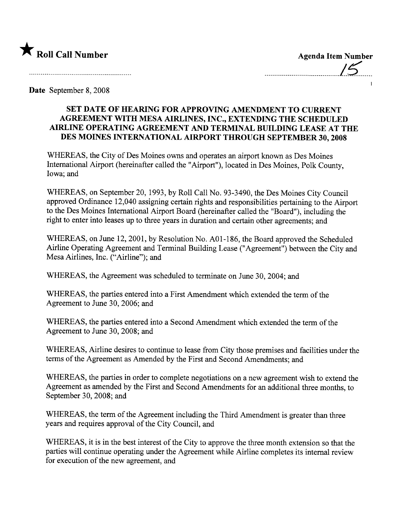

--------------------\_...\_-----------.-. \_.\_---------.... /5

Date September 8, 2008

## SET DATE OF HEARING FOR APPROVING AMENDMENT TO CURRENT AGREEMENT WITH MESA AIRLINES, INC., EXTENDING THE SCHEDULED AIRLINE OPERATING AGREEMENT AND TERMINAL BUILDING LEASE AT THE DES MOINES INTERNATIONAL AIRPORT THROUGH SEPTEMBER 30,2008

WHEREAS, the City of Des Moines owns and operates an airport known as Des Moines International Airport (hereinafter called the "Airport"), located in Des Moines, Polk County, Iowa; and

WHEREAS, on September 20, 1993, by Roll Call No. 93-3490, the Des Moines City Council approved Ordinance 12,040 assigning certain rights and responsibilities pertaining to the Airport to the Des Moines International Airport Board (hereinafter called the "Board"), including the right to enter into leases up to three years in duration and certain other agreements; and

WHEREAS, on June 12,2001, by Resolution No. AOl-186, the Board approved the Scheduled Airline Operating Agreement and Terminal Building Lease ("Agreement") between the City and Mesa Airlines, Inc. ("Airline"); and

WHEREAS, the Agreement was scheduled to terminate on June 30, 2004; and

WHEREAS, the paries entered into a First Amendment which extended the term of the Agreement to June 30, 2006; and

WHEREAS, the paries entered into a Second Amendment which extended the term of the Agreement to June 30, 2008; and

WHEREAS, Airline desires to continue to lease from City those premises and facilities under the terms of the Agreement as Amended by the First and Second Amendments; and

WHEREAS, the paries in order to complete negotiations on a new agreement wish to extend the Agreement as amended by the First and Second Amendments for an additional three months, to September 30, 2008; and

WHEREAS, the term of the Agreement including the Third Amendment is greater than three years and requires approval of the City Council, and

WHEREAS, it is in the best interest of the City to approve the three month extension so that the parties will continue operating under the Agreement while Airline completes its internal review for execution of the new agreement, and